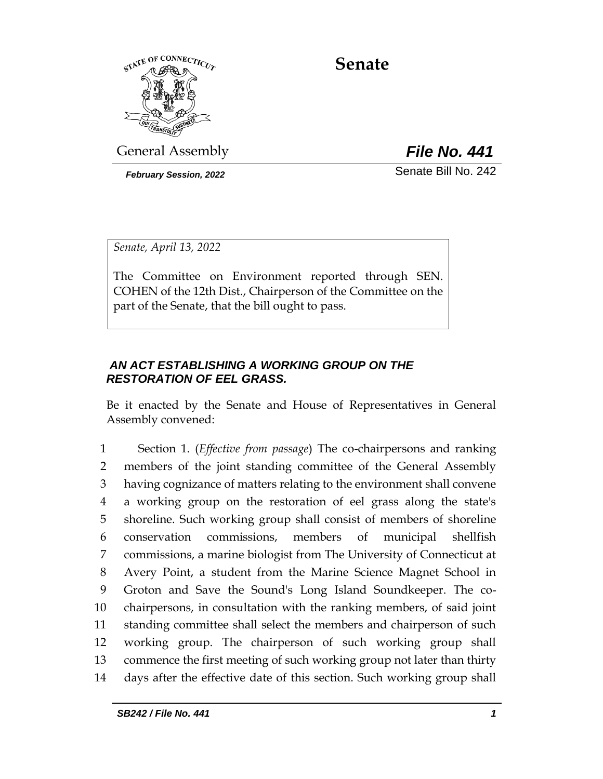

**Senate**

General Assembly *File No. 441*

*February Session, 2022* Senate Bill No. 242

*Senate, April 13, 2022*

The Committee on Environment reported through SEN. COHEN of the 12th Dist., Chairperson of the Committee on the part of the Senate, that the bill ought to pass.

## *AN ACT ESTABLISHING A WORKING GROUP ON THE RESTORATION OF EEL GRASS.*

Be it enacted by the Senate and House of Representatives in General Assembly convened:

 Section 1. (*Effective from passage*) The co-chairpersons and ranking members of the joint standing committee of the General Assembly having cognizance of matters relating to the environment shall convene a working group on the restoration of eel grass along the state's shoreline. Such working group shall consist of members of shoreline conservation commissions, members of municipal shellfish commissions, a marine biologist from The University of Connecticut at Avery Point, a student from the Marine Science Magnet School in Groton and Save the Sound's Long Island Soundkeeper. The co- chairpersons, in consultation with the ranking members, of said joint standing committee shall select the members and chairperson of such working group. The chairperson of such working group shall commence the first meeting of such working group not later than thirty days after the effective date of this section. Such working group shall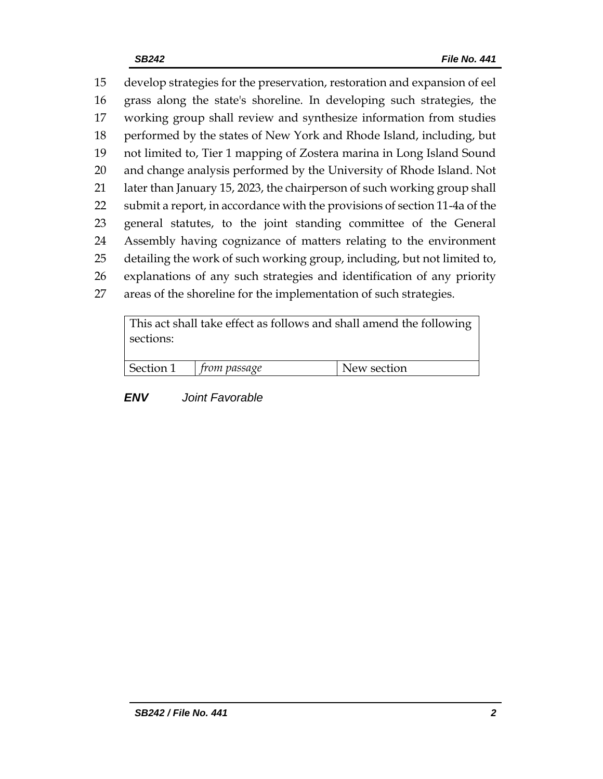develop strategies for the preservation, restoration and expansion of eel grass along the state's shoreline. In developing such strategies, the working group shall review and synthesize information from studies performed by the states of New York and Rhode Island, including, but not limited to, Tier 1 mapping of Zostera marina in Long Island Sound and change analysis performed by the University of Rhode Island. Not later than January 15, 2023, the chairperson of such working group shall submit a report, in accordance with the provisions of section 11-4a of the general statutes, to the joint standing committee of the General Assembly having cognizance of matters relating to the environment detailing the work of such working group, including, but not limited to, explanations of any such strategies and identification of any priority areas of the shoreline for the implementation of such strategies.

This act shall take effect as follows and shall amend the following sections:

| Section 1 | trom passage | New section |
|-----------|--------------|-------------|
|           |              |             |

*ENV Joint Favorable*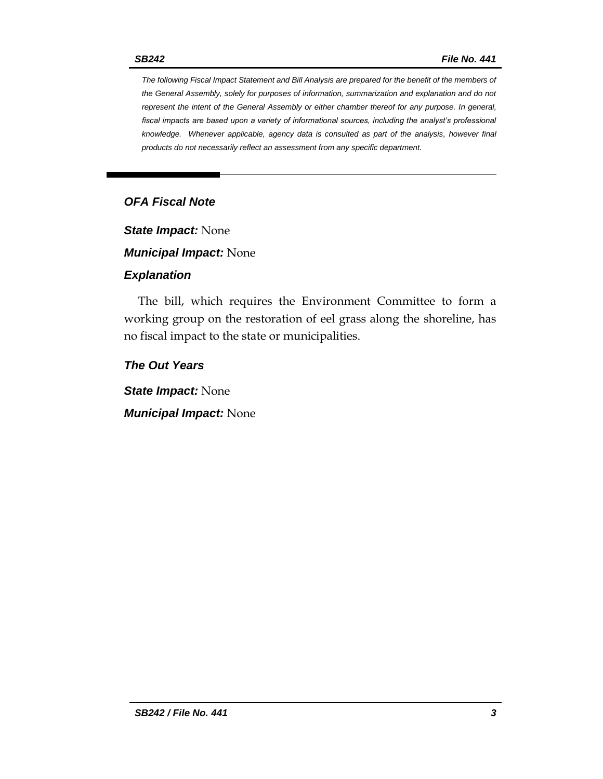*The following Fiscal Impact Statement and Bill Analysis are prepared for the benefit of the members of the General Assembly, solely for purposes of information, summarization and explanation and do not represent the intent of the General Assembly or either chamber thereof for any purpose. In general, fiscal impacts are based upon a variety of informational sources, including the analyst's professional knowledge. Whenever applicable, agency data is consulted as part of the analysis, however final products do not necessarily reflect an assessment from any specific department.*

# *OFA Fiscal Note*

*State Impact:* None

*Municipal Impact:* None

#### *Explanation*

The bill, which requires the Environment Committee to form a working group on the restoration of eel grass along the shoreline, has no fiscal impact to the state or municipalities.

*The Out Years*

*State Impact:* None

*Municipal Impact:* None